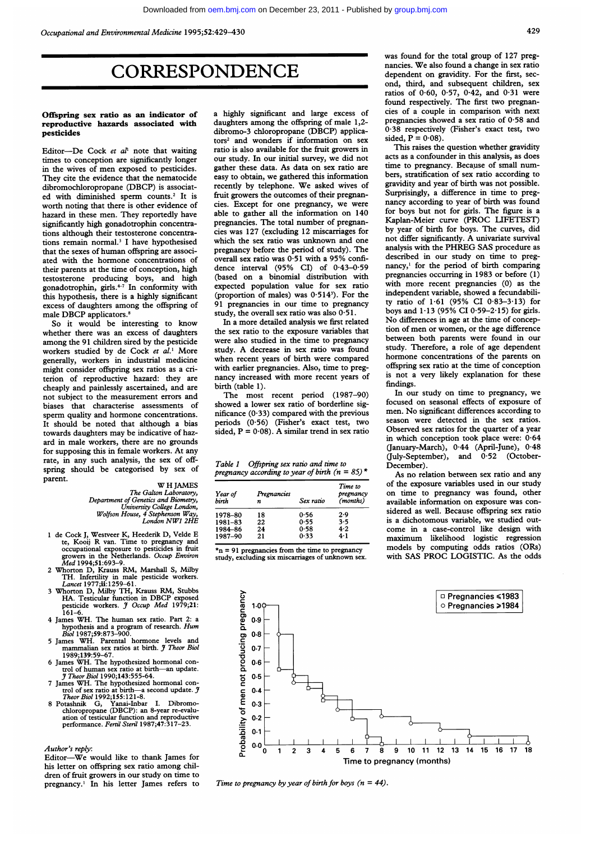429

## **CORRESPONDENCE**

### Offspring sex ratio as an indicator of reproductive hazards associated with pesticides

Editor---De Cock et  $al<sup>1</sup>$  note that waiting times to conception are significantly longer in the wives of men exposed to pesticides. They cite the evidence that the nematocide dibromochloropropane (DBCP) is associated with diminished sperm counts.2 It is worth noting that there is other evidence of hazard in these men. They reportedly have significantly high gonadotrophin concentrations although their testosterone concentrations remain normal.' <sup>I</sup> have hypothesised that the sexes of human offspring are associated with the hormone concentrations of their parents at the time of conception, high testosterone producing boys, and high gonadotrophin, girls. $47$  In conformity with this hypothesis, there is a highly significant excess of daughters among the offspring of male DBCP applicators.<sup>8</sup>

So it would be interesting to know whether there was an excess of daughters among the 91 children sired by the pesticide workers studied by de Cock et al.<sup>1</sup> More generally, workers in industrial medicine might consider offspring sex ratios as a criterion of reproductive hazard: they are cheaply and painlessly ascertained, and are not subject to the measurement errors and biases that characterise assessments of sperm quality and hormone concentrations. It should be noted that although a bias towards daughters may be indicative of hazard in male workers, there are no grounds for supposing this in female workers. At any rate, in any such analysis, the sex of offspring should be categorised by sex of parent.

### W H JAMES The Galton Laboratory, Department of Genetics and Biometry, University College London, Wolfson House, 4 Stephenson Way, London NW1 2HE

- <sup>1</sup> de Cock J, Westveer K, Heederik D, Velde E te, Kooij R van. Time to pregnancy and occupational exposure to pesticides in fruit growers in the Netherlands. Occup Environ
- Med 1994;51:693-9.<br>
2 Whorton D, Krauss RM, Marshall S, Milby<br>
TH. Infertility in male pesticide workers.<br> *Lancet* 1977;ii: 1259-61.
- 3 Whorton D, Milby TH, Krauss RM, Stubbs<br>HA. Testicular function in DBCP exposed<br>pesticide workers. *J Occup Med* 1979;21: 161-6.
- 4 James WH. The human sex ratio. Part 2: <sup>a</sup> hypothesis and a program of research. Hum<br>Biol 1987;59:873-900.
- 5 James WH. Parental hormone levels and mammalian sex ratios at birth. *J Theor Biol* 1989;139:59-67.
- 6 James WH. The hypothesized hormonal control of human sex ratio at birth—an update.<br> *Theor Biol* 1990;143:555-64.
- 
- *J Theor Biol* 1990;143:555-64.<br>
T James WH. The hypothesized hormonal control of sex ratio at birth—a second update. *J* Theor Biol 1992;155:121-8.<br>
8 Potashnik G, Yanai-Inbar I. Dibromo-chloropropane (DBCP): an 8-year r

### Author's reply:

Editor-We would like to thank James for his letter on offspring sex ratio among children of fruit growers in our study on time to pregnancy.<sup>1</sup> In his letter James refers to a highly significant and large excess of daughters among the offspring of male 1,2 dibromo-3 chloropropane (DBCP) applicators2 and wonders if information on sex ratio is also available for the fruit growers in our study. In our initial survey, we did not gather these data. As data on sex ratio are easy to obtain, we gathered this information recently by telephone. We asked wives of fruit growers the outcomes of their pregnancies. Except for one pregnancy, we were able to gather all the information on 140 pregnancies. The total number of pregnancies was 127 (excluding 12 miscarriages for which the sex ratio was unknown and one pregnancy before the period of study). The overall sex ratio was 0-51 with <sup>a</sup> 95% confidence interval (95% CI) of 0.43-0.59 (based on a binomial distribution with expected population value for sex ratio (proportion of males) was  $0.514$ <sup>3</sup>). For the 91 pregnancies in our time to pregnancy study, the overall sex ratio was also  $0.51$ .

In a more detailed analysis we first related the sex ratio to the exposure variables that were also studied in the time to pregnancy study. A decrease in sex ratio was found when recent years of birth were compared with earlier pregnancies. Also, time to pregnancy increased with more recent years of birth (table 1).

The most recent period (1987-90) showed a lower sex ratio of borderline significance (0-33) compared with the previous periods (0 56) (Fisher's exact test, two sided,  $P = 0.08$ ). A similar trend in sex ratio

| Table 1 | Offspring sex ratio and time to                    |  |
|---------|----------------------------------------------------|--|
|         | pregnancy according to year of birth ( $n = 85$ )* |  |

| Year of<br>birth | Pregnancies<br>n | Sex ratio | Time to<br>pregnancy<br>(months) |
|------------------|------------------|-----------|----------------------------------|
| 1978-80          | 18               | 0.56      | 2.9                              |
| 1981-83          | 22               | 0.55      | 3.5                              |
| 1984-86          | 24               | 0.58      | 4.2                              |
| 1987-90          | 21               | 0.33      | 4.1                              |

 $\pi$ n = 91 pregnancies from the time to pregnancy study, excluding six miscarriages of unknown sex. was found for the total group of 127 pregnancies. We also found <sup>a</sup> change in sex ratio dependent on gravidity. For the first, second, third, and subsequent children, sex ratios of 0-60, 0 57, 0-42, and 0-31 were found respectively. The first two pregnancies of a couple in comparison with next pregnancies showed a sex ratio of 0-58 and 0-38 respectively (Fisher's exact test, two sided,  $\mathbf{P} = 0.08$ ).

This raises the question whether gravidity acts as a confounder in this analysis, as does time to pregnancy. Because of small numbers, stratification of sex ratio according to gravidity and year of birth was not possible. Surprisingly, a difference in time to pregnancy according to year of birth was found for boys but not for girls. The figure is <sup>a</sup> Kaplan-Meier curve (PROC LIFETEST) by year of birth for boys. The curves, did not differ significantly. A univariate survival analysis with the PHREG SAS procedure as described in our study on time to pregnancy,' for the period of birth comparing pregnancies occurring in 1983 or before (1) with more recent pregnancies (0) as the independent variable, showed a fecundability ratio of 1-61 (95% CI 0-83-3-13) for boys and  $1.13$  (95% CI 0.59-2.15) for girls. No differences in age at the time of conception of men or women, or the age difference between both parents were found in our study. Therefore, a role of age dependent hormone concentrations of the parents on offspring sex ratio at the time of conception is not a very likely explanation for these findings.

In our study on time to pregnancy, we focused on seasonal effects of exposure of men. No significant differences according to season were detected in the sex ratios. Observed sex ratios for the quarter of a year in which conception took place were: 0-64 (January-March), 0.44 (April-June), 0.48<br>(July-September), and 0.52 (October-(July-September), and  $0.52$ December).

As no relation between sex ratio and any of the exposure variables used in our study on time to pregnancy was found, other available information on exposure was considered as well. Because offspring sex ratio is a dichotomous variable, we studied outcome in a case-control like design with maximum likelihood logistic regression models by computing odds ratios (ORs) with SAS PROC LOGISTIC. As the odds



Time to pregnancy by year of birth for boys ( $n = 44$ ).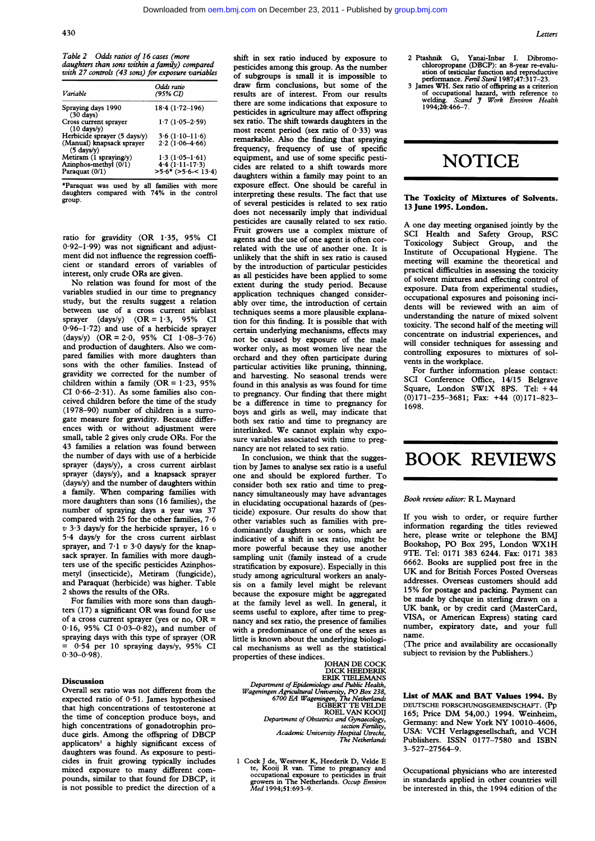Table 2 Odds ratios of 16 cases (more daughters than sons within a family) compared with 27 controls (43 sons) for exposure variables

| <i>Variable</i>                                   | Odds ratio<br>(95% CI) |
|---------------------------------------------------|------------------------|
|                                                   |                        |
| Spraying days 1990<br>$(30$ days)                 | $18.4(1.72 - 196)$     |
| Cross current sprayer<br>$(10 \text{ days}/v)$    | $1.7(1.05 - 2.59)$     |
| Herbicide sprayer $(5 \text{ days/y})$            | $3.6(1.10-11.6)$       |
| (Manual) knapsack sprayer<br>$(5 \text{ days}/y)$ | $2.2(1.06-4.66)$       |
| Metiram (1 spraying/y)                            | $1.3(1.05-1.61)$       |
| Azinphos-methyl (0/1)                             | $4.4(1.11-17.3)$       |
| Paraquat (0/1)                                    | $>5.6$ * (>5.6-< 13.4) |

\*Paraquat was used by all families with more daughters compared with 74% in the control group.

ratio for gravidity (OR 1-35, 95% CI 0 92-1 99) was not significant and adjustment did not influence the regression coefficient or standard errors of variables of interest, only crude ORs are given.

No relation was found for most of the variables studied in our time to pregnancy study, but the results suggest a relation between use of a cross current airblast sprayer  $(days/y)$   $(OR = 1.3, 95\%$  CI 0-96-1-72) and use of a herbicide sprayer (days/y)  $(OR = 2.0, 95\% \text{ CI} 1.08-3.76)$ and production of daughters. Also we compared families with more daughters than sons with the other families. Instead of gravidity we corrected for the number of children within a family ( $OR = 1.23$ , 95% CI 0-66-2-31). As some families also conceived children before the time of the study (1978-90) number of children is a surrogate measure for gravidity. Because differences with or without adjustment were small, table 2 gives only crude ORs. For the 43 families a relation was found between the number of days with use of a herbicide sprayer (days/y), a cross current airblast sprayer (days/y), and a knapsack sprayer (days/y) and the number of daughters within <sup>a</sup> family. When comparing families with more daughters than sons (16 families), the number of spraying days a year was 37 compared with 25 for the other families, 7-6  $v$  3.3 days/y for the herbicide sprayer, 16  $v$ 5-4 days/y for the cross current airblast sprayer, and  $7.1 v 3.0$  days/y for the knapsack sprayer. In families with more daughters use of the specific pesticides Azinphosmetyl (insecticide), Metiram (fungicide), and Paraquat (herbicide) was higher. Table 2 shows the results of the ORs.

For families with more sons than daughters (17) <sup>a</sup> significant OR was found for use of a cross current sprayer (yes or no,  $OR =$ 0.16, 95% CI 0.03-0.82), and number of spraying days with this type of sprayer (OR = 0-54 per 10 spraying days/y, 95% CI  $0.30 - 0.98$ 

### Discussion

Overall sex ratio was not different from the expected ratio of 0-51. James hypothesised that high concentrations of testosterone at the time of conception produce boys, and high concentrations of gonadotrophin produce girls. Among the offspring of DBCP applicators<sup>3</sup> a highly significant excess of daughters was found. As exposure to pesticides in fruit growing typically includes mixed exposure to many different compounds, similar to that found for DBCP, it is not possible to predict the direction of a

shift in sex ratio induced by exposure to pesticides among this group. As the number of subgroups is small it is impossible to draw firm conclusions, but some of the results are of interest. From our results there are some indications that exposure to pesticides in agriculture may affect offspring sex ratio. The shift towards daughters in the most recent period (sex ratio of  $0.33$ ) was remarkable. Also the finding that spraying frequency, frequency of use of specific equipment, and use of some specific pesticides are related to a shift towards more daughters within a family may point to an exposure effect. One should be careful in interpreting these results. The fact that use of several pesticides is related to sex ratio does not necessarily imply that individual pesticides are causally related to sex ratio. Fruit growers use a complex mixture of agents and the use of one agent is often correlated with the use of another one. It is unlikely that the shift in sex ratio is caused by the introduction of particular pesticides as all pesticides have been applied to some extent during the study period. Because application techniques changed considerably over time, the introduction of certain techniques seems a more plausible explanation for this finding. It is possible that with certain underlying mechanisms, effects may not be caused by exposure of the male worker only, as most women live near the orchard and they often participate during particular activities like pruning, thinning, and harvesting. No seasonal trends were found in this analysis as was found for time to pregnancy. Our finding that there might be a difference in time to pregnancy for boys and girls as well, may indicate that both sex ratio and time to pregnancy are interlinked. We cannot explain why exposure variables associated with time to pregnancy are not related to sex ratio.

In conclusion, we think that the suggestion by James to analyse sex ratio is a useful one and should be explored further. To consider both sex ratio and time to pregnancy simultaneously may have advantages in elucidating occupational hazards of (pesticide) exposure. Our results do show that other variables such as families with predominantly daughters or sons, which are indicative of a shift in sex ratio, might be more powerful because they use another sampling unit (family instead of a crude stratification by exposure). Especially in this study among agricultural workers an analysis on a family level might be relevant because the exposure might be aggregated at the family level as well. In general, it seems useful to explore, after time to pregnancy and sex ratio, the presence of families with a predominance of one of the sexes as little is known about the underlying biological mechanisms as well as the statistical properties of these indices.

JOHAN DE COCK DICK HEEDERIK ERIK TIELEMANS

Department of Epidemiology and Public Health, Wageningen Agriculural University, PO Box 238, 6700 EA Wageningen, The Netherlands EGBERT TE VELDE ROEL VAN KOOIJ Department of Obstetrics and Gynaecology, na Synaccom<sub>ES</sub>, Academic University Hospital Utrecht, The Netherlands

1 Cock J de, Westveer K, Heederik D, Velde E<br>te, Kooij R van. Time to pregnancy and<br>occupational exposure to pesticides in fruit<br>growers in The Netherlands. Occup Environ<br>Med 1994;51:693-9.

3 James WH. Sex ratio of offspring as a criterion<br>of occupational hazard, with reference to<br>welding. Scand J Work Environ Health welding. Scand<br>1994;20:466-7.

# **NOTICE**

#### The Toxicity of Mixtures of Solvents. 13 June 1995. London.

A one day meeting organised jointly by the SCI Health and Safety Group, RSC<br>Toxicology Subject Group, and the Subject Group, and Institute of Occupational Hygiene. The meeting will examine the theoretical and practical difficulties in assessing the toxicity of solvent mixtures and effecting control of exposure. Data from experimental studies, occupational exposures and poisoning incidents will be reviewed with an aim of understanding the nature of mixed solvent toxicity. The second half of the meeting will concentrate on industrial experiences, and will consider techniques for assessing and controlling exposures to mixtures of solvents in the workplace.

For further information please contact: SCI Conference Office, 14/15 Belgrave Square, London SWIX 8PS. Tel: + 44 (0)171-235-3681; Fax: +44 (0)171-823- 1698.

## BOOK REVIEWS

#### Book review editor: R L Maynard

If you wish to order, or require further information regarding the titles reviewed here, please write or telephone the BMJ Bookshop, PO Box 295, London WX1H 9TE. Tel: 0171 383 6244. Fax: 0171 383 6662. Books are supplied post free in the UK and for British Forces Posted Overseas addresses. Overseas customers should add 15% for postage and packing. Payment can be made by cheque in sterling drawn on a UK bank, or by credit card (MasterCard, VISA, or American Express) stating card number, expiratory date, and your full name.

(The price and availability are occasionally subject to revision by the Publishers.)

List of MAK and BAT Values 1994. By DEUTSCHE FORSCHUNGSGEMEINSCHAFT. (Pp 165; Price DM 54,00.) 1994. Weinheim, Germany: and New York NY 10010-4606, USA: VCH Verlagsgesellschaft, and VCH Publishers. ISSN 0177-7580 and ISBN 3-527-27564-9.

Occupational physicians who are interested in standards applied in other countries will be interested in this, the 1994 edition of the